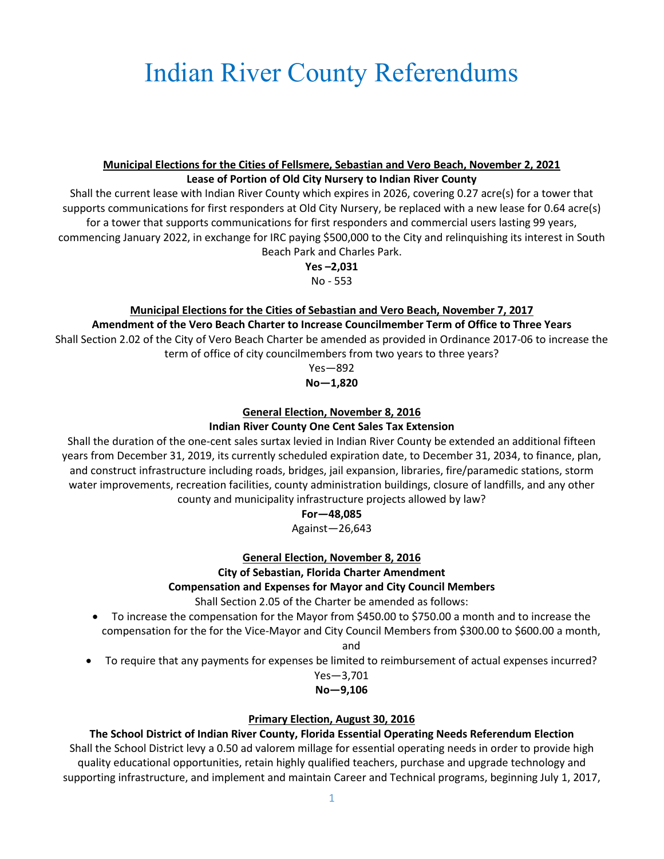## **Municipal Elections for the Cities of Fellsmere, Sebastian and Vero Beach, November 2, 2021 Lease of Portion of Old City Nursery to Indian River County**

Shall the current lease with Indian River County which expires in 2026, covering 0.27 acre(s) for a tower that supports communications for first responders at Old City Nursery, be replaced with a new lease for 0.64 acre(s) for a tower that supports communications for first responders and commercial users lasting 99 years, commencing January 2022, in exchange for IRC paying \$500,000 to the City and relinquishing its interest in South Beach Park and Charles Park.

> **Yes –2,031** No - 553

## **Municipal Elections for the Cities of Sebastian and Vero Beach, November 7, 2017 Amendment of the Vero Beach Charter to Increase Councilmember Term of Office to Three Years**

Shall Section 2.02 of the City of Vero Beach Charter be amended as provided in Ordinance 2017-06 to increase the term of office of city councilmembers from two years to three years?

Yes—892

**No—1,820**

## **General Election, November 8, 2016**

## **Indian River County One Cent Sales Tax Extension**

Shall the duration of the one-cent sales surtax levied in Indian River County be extended an additional fifteen years from December 31, 2019, its currently scheduled expiration date, to December 31, 2034, to finance, plan, and construct infrastructure including roads, bridges, jail expansion, libraries, fire/paramedic stations, storm water improvements, recreation facilities, county administration buildings, closure of landfills, and any other county and municipality infrastructure projects allowed by law?

## **For—48,085**

Against—26,643

**General Election, November 8, 2016 City of Sebastian, Florida Charter Amendment**

## **Compensation and Expenses for Mayor and City Council Members**

Shall Section 2.05 of the Charter be amended as follows:

• To increase the compensation for the Mayor from \$450.00 to \$750.00 a month and to increase the compensation for the for the Vice-Mayor and City Council Members from \$300.00 to \$600.00 a month,

and

• To require that any payments for expenses be limited to reimbursement of actual expenses incurred?

#### Yes—3,701 **No—9,106**

## **Primary Election, August 30, 2016**

## **The School District of Indian River County, Florida Essential Operating Needs Referendum Election**

Shall the School District levy a 0.50 ad valorem millage for essential operating needs in order to provide high quality educational opportunities, retain highly qualified teachers, purchase and upgrade technology and supporting infrastructure, and implement and maintain Career and Technical programs, beginning July 1, 2017,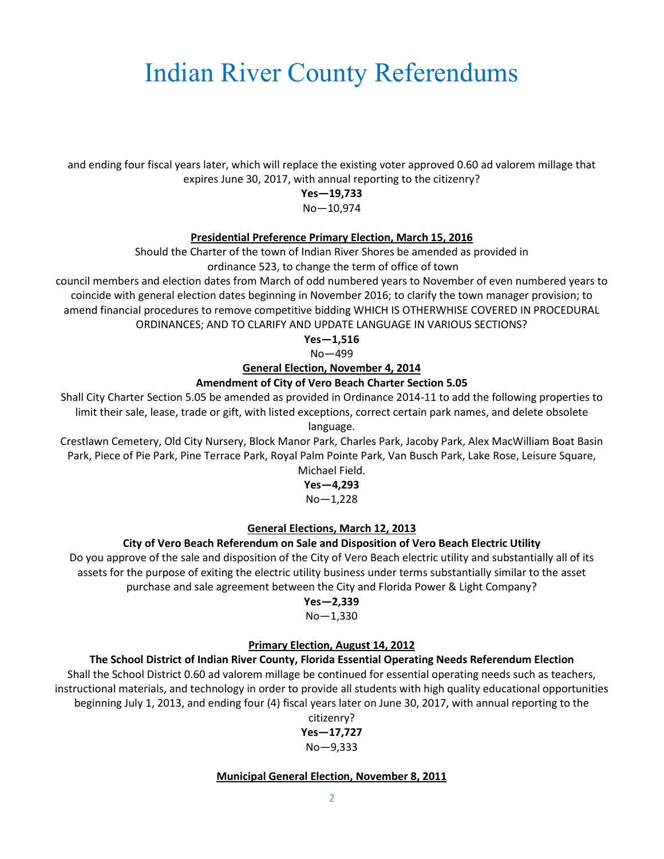and ending four fiscal years later, which will replace the existing voter approved 0.60 ad valorem millage that expires June 30, 2017, with annual reporting to the citizenry?

> **Yes—19,733** No—10,974

## **Presidential Preference Primary Election, March 15, 2016**

Should the Charter of the town of Indian River Shores be amended as provided in ordinance 523, to change the term of office of town

council members and election dates from March of odd numbered years to November of even numbered years to coincide with general election dates beginning in November 2016; to clarify the town manager provision; to amend financial procedures to remove competitive bidding WHICH IS OTHERWHISE COVERED IN PROCEDURAL ORDINANCES; AND TO CLARIFY AND UPDATE LANGUAGE IN VARIOUS SECTIONS?

> **Yes—1,516** No—499

## **General Election, November 4, 2014**

### **Amendment of City of Vero Beach Charter Section 5.05**

Shall City Charter Section 5.05 be amended as provided in Ordinance 2014-11 to add the following properties to limit their sale, lease, trade or gift, with listed exceptions, correct certain park names, and delete obsolete language.

Crestlawn Cemetery, Old City Nursery, Block Manor Park, Charles Park, Jacoby Park, Alex MacWilliam Boat Basin Park, Piece of Pie Park, Pine Terrace Park, Royal Palm Pointe Park, Van Busch Park, Lake Rose, Leisure Square, Michael Field.

> **Yes—4,293** No—1,228

### **General Elections, March 12, 2013**

### **City of Vero Beach Referendum on Sale and Disposition of Vero Beach Electric Utility**

Do you approve of the sale and disposition of the City of Vero Beach electric utility and substantially all of its assets for the purpose of exiting the electric utility business under terms substantially similar to the asset purchase and sale agreement between the City and Florida Power & Light Company?

### **Yes—2,339**

No—1,330

### **Primary Election, August 14, 2012**

## **The School District of Indian River County, Florida Essential Operating Needs Referendum Election**

Shall the School District 0.60 ad valorem millage be continued for essential operating needs such as teachers, instructional materials, and technology in order to provide all students with high quality educational opportunities beginning July 1, 2013, and ending four (4) fiscal years later on June 30, 2017, with annual reporting to the

citizenry?

**Yes—17,727** No—9,333

#### **Municipal General Election, November 8, 2011**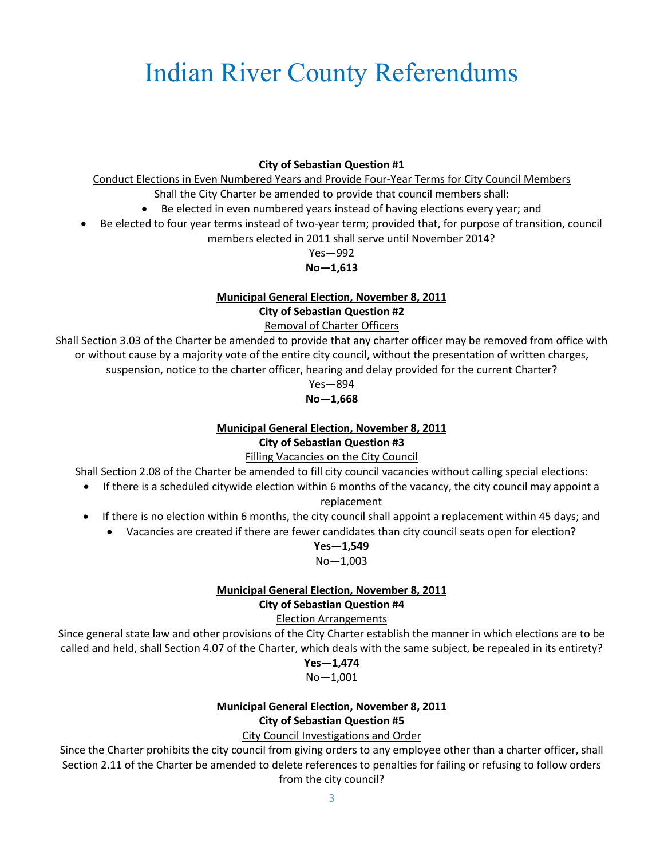## **City of Sebastian Question #1**

Conduct Elections in Even Numbered Years and Provide Four-Year Terms for City Council Members

Shall the City Charter be amended to provide that council members shall:

• Be elected in even numbered years instead of having elections every year; and

• Be elected to four year terms instead of two-year term; provided that, for purpose of transition, council members elected in 2011 shall serve until November 2014?

Yes—992

**No—1,613**

## **Municipal General Election, November 8, 2011**

## **City of Sebastian Question #2**

## Removal of Charter Officers

Shall Section 3.03 of the Charter be amended to provide that any charter officer may be removed from office with or without cause by a majority vote of the entire city council, without the presentation of written charges, suspension, notice to the charter officer, hearing and delay provided for the current Charter?

## Yes—894

## **No—1,668**

## **Municipal General Election, November 8, 2011**

## **City of Sebastian Question #3**

## Filling Vacancies on the City Council

Shall Section 2.08 of the Charter be amended to fill city council vacancies without calling special elections:

- If there is a scheduled citywide election within 6 months of the vacancy, the city council may appoint a replacement
- If there is no election within 6 months, the city council shall appoint a replacement within 45 days; and
	- Vacancies are created if there are fewer candidates than city council seats open for election?

## **Yes—1,549**

## No—1,003

## **Municipal General Election, November 8, 2011**

## **City of Sebastian Question #4**

## Election Arrangements

Since general state law and other provisions of the City Charter establish the manner in which elections are to be called and held, shall Section 4.07 of the Charter, which deals with the same subject, be repealed in its entirety?

## **Yes—1,474**

## No—1,001

## **Municipal General Election, November 8, 2011 City of Sebastian Question #5**

## City Council Investigations and Order

Since the Charter prohibits the city council from giving orders to any employee other than a charter officer, shall Section 2.11 of the Charter be amended to delete references to penalties for failing or refusing to follow orders from the city council?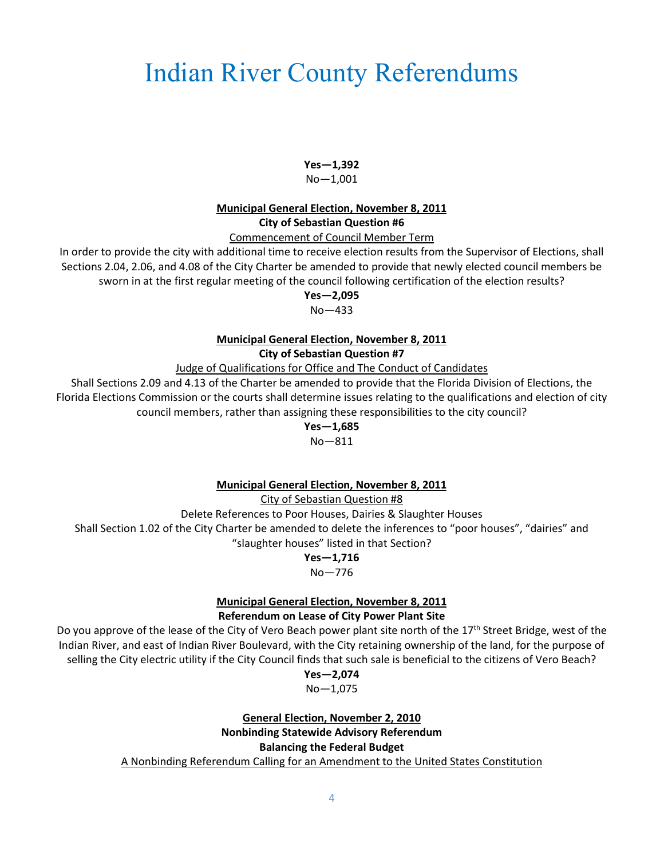**Yes—1,392** No—1,001

## **Municipal General Election, November 8, 2011**

**City of Sebastian Question #6**

Commencement of Council Member Term

In order to provide the city with additional time to receive election results from the Supervisor of Elections, shall Sections 2.04, 2.06, and 4.08 of the City Charter be amended to provide that newly elected council members be sworn in at the first regular meeting of the council following certification of the election results?

**Yes—2,095**

No—433

## **Municipal General Election, November 8, 2011**

**City of Sebastian Question #7**

Judge of Qualifications for Office and The Conduct of Candidates

Shall Sections 2.09 and 4.13 of the Charter be amended to provide that the Florida Division of Elections, the Florida Elections Commission or the courts shall determine issues relating to the qualifications and election of city council members, rather than assigning these responsibilities to the city council?

> **Yes—1,685** No—811

## **Municipal General Election, November 8, 2011**

City of Sebastian Question #8 Delete References to Poor Houses, Dairies & Slaughter Houses Shall Section 1.02 of the City Charter be amended to delete the inferences to "poor houses", "dairies" and "slaughter houses" listed in that Section?

## **Yes—1,716**

No—776

## **Municipal General Election, November 8, 2011 Referendum on Lease of City Power Plant Site**

Do you approve of the lease of the City of Vero Beach power plant site north of the 17<sup>th</sup> Street Bridge, west of the Indian River, and east of Indian River Boulevard, with the City retaining ownership of the land, for the purpose of selling the City electric utility if the City Council finds that such sale is beneficial to the citizens of Vero Beach?

## **Yes—2,074**

No—1,075

**General Election, November 2, 2010 Nonbinding Statewide Advisory Referendum Balancing the Federal Budget** A Nonbinding Referendum Calling for an Amendment to the United States Constitution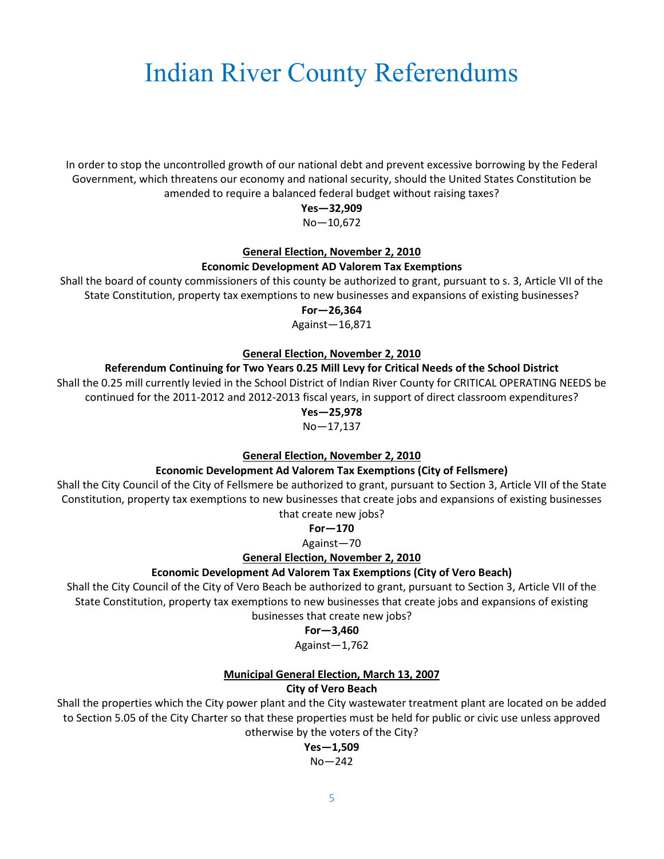In order to stop the uncontrolled growth of our national debt and prevent excessive borrowing by the Federal Government, which threatens our economy and national security, should the United States Constitution be amended to require a balanced federal budget without raising taxes?

**Yes—32,909**

No—10,672

## **General Election, November 2, 2010**

## **Economic Development AD Valorem Tax Exemptions**

Shall the board of county commissioners of this county be authorized to grant, pursuant to s. 3, Article VII of the State Constitution, property tax exemptions to new businesses and expansions of existing businesses?

**For—26,364**

Against—16,871

## **General Election, November 2, 2010**

## **Referendum Continuing for Two Years 0.25 Mill Levy for Critical Needs of the School District**

Shall the 0.25 mill currently levied in the School District of Indian River County for CRITICAL OPERATING NEEDS be continued for the 2011-2012 and 2012-2013 fiscal years, in support of direct classroom expenditures?

## **Yes—25,978**

No—17,137

## **General Election, November 2, 2010**

## **Economic Development Ad Valorem Tax Exemptions (City of Fellsmere)**

Shall the City Council of the City of Fellsmere be authorized to grant, pursuant to Section 3, Article VII of the State Constitution, property tax exemptions to new businesses that create jobs and expansions of existing businesses that create new jobs?

**For—170** 

Against—70

## **General Election, November 2, 2010**

## **Economic Development Ad Valorem Tax Exemptions (City of Vero Beach)**

Shall the City Council of the City of Vero Beach be authorized to grant, pursuant to Section 3, Article VII of the State Constitution, property tax exemptions to new businesses that create jobs and expansions of existing businesses that create new jobs?

**For—3,460**

Against—1,762

### **Municipal General Election, March 13, 2007**

## **City of Vero Beach**

Shall the properties which the City power plant and the City wastewater treatment plant are located on be added to Section 5.05 of the City Charter so that these properties must be held for public or civic use unless approved otherwise by the voters of the City?

$$
Yes\mathord{-}1,\!509
$$

No—242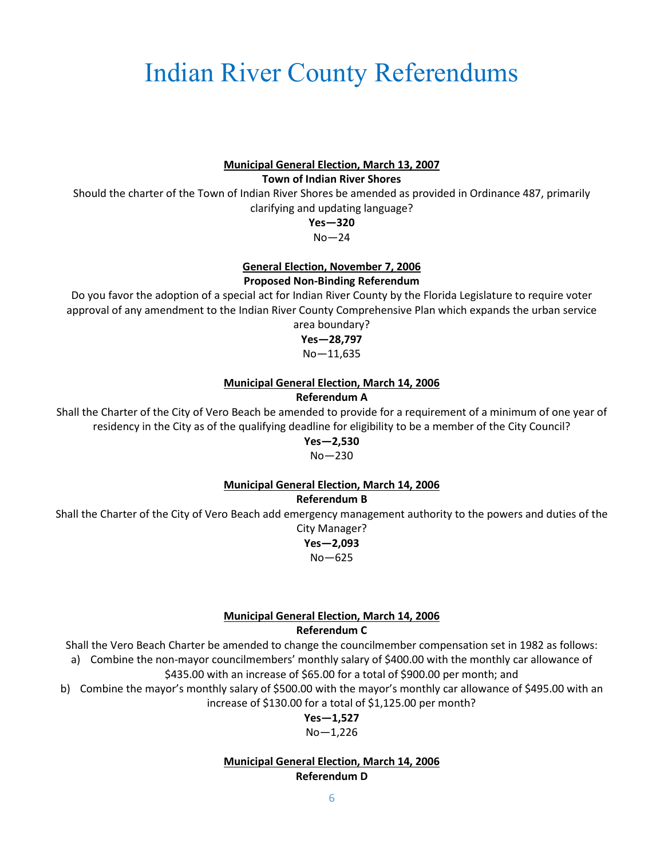## **Municipal General Election, March 13, 2007**

## **Town of Indian River Shores**

Should the charter of the Town of Indian River Shores be amended as provided in Ordinance 487, primarily clarifying and updating language?

**Yes—320** 

 $No - 24$ 

## **General Election, November 7, 2006**

**Proposed Non-Binding Referendum**

Do you favor the adoption of a special act for Indian River County by the Florida Legislature to require voter approval of any amendment to the Indian River County Comprehensive Plan which expands the urban service area boundary?

**Yes—28,797**

No—11,635

## **Municipal General Election, March 14, 2006**

## **Referendum A**

Shall the Charter of the City of Vero Beach be amended to provide for a requirement of a minimum of one year of residency in the City as of the qualifying deadline for eligibility to be a member of the City Council?

**Yes—2,530**

No—230

## **Municipal General Election, March 14, 2006**

## **Referendum B**

Shall the Charter of the City of Vero Beach add emergency management authority to the powers and duties of the City Manager?

**Yes—2,093** No—625

## **Municipal General Election, March 14, 2006 Referendum C**

Shall the Vero Beach Charter be amended to change the councilmember compensation set in 1982 as follows: a) Combine the non-mayor councilmembers' monthly salary of \$400.00 with the monthly car allowance of

\$435.00 with an increase of \$65.00 for a total of \$900.00 per month; and

b) Combine the mayor's monthly salary of \$500.00 with the mayor's monthly car allowance of \$495.00 with an increase of \$130.00 for a total of \$1,125.00 per month?

## **Yes—1,527** No—1,226

## **Municipal General Election, March 14, 2006 Referendum D**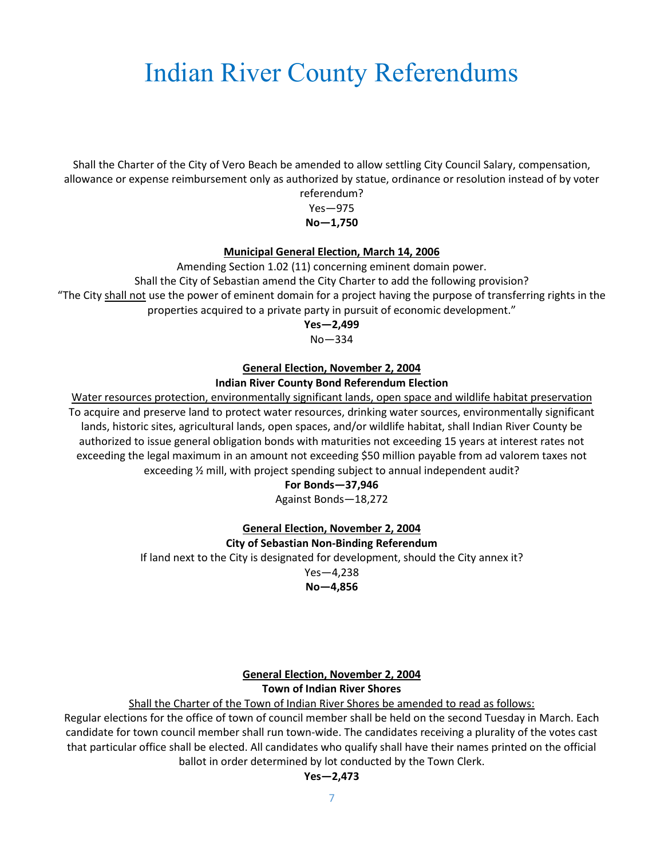Shall the Charter of the City of Vero Beach be amended to allow settling City Council Salary, compensation, allowance or expense reimbursement only as authorized by statue, ordinance or resolution instead of by voter

referendum? Yes—975

## **No—1,750**

## **Municipal General Election, March 14, 2006**

Amending Section 1.02 (11) concerning eminent domain power. Shall the City of Sebastian amend the City Charter to add the following provision? "The City shall not use the power of eminent domain for a project having the purpose of transferring rights in the properties acquired to a private party in pursuit of economic development."

**Yes—2,499**

No—334

## **General Election, November 2, 2004**

## **Indian River County Bond Referendum Election**

Water resources protection, environmentally significant lands, open space and wildlife habitat preservation To acquire and preserve land to protect water resources, drinking water sources, environmentally significant lands, historic sites, agricultural lands, open spaces, and/or wildlife habitat, shall Indian River County be authorized to issue general obligation bonds with maturities not exceeding 15 years at interest rates not exceeding the legal maximum in an amount not exceeding \$50 million payable from ad valorem taxes not exceeding ½ mill, with project spending subject to annual independent audit?

## **For Bonds—37,946**

Against Bonds—18,272

## **General Election, November 2, 2004 City of Sebastian Non-Binding Referendum**

If land next to the City is designated for development, should the City annex it?

Yes—4,238 **No—4,856**

**General Election, November 2, 2004 Town of Indian River Shores**

Shall the Charter of the Town of Indian River Shores be amended to read as follows:

Regular elections for the office of town of council member shall be held on the second Tuesday in March. Each candidate for town council member shall run town-wide. The candidates receiving a plurality of the votes cast that particular office shall be elected. All candidates who qualify shall have their names printed on the official ballot in order determined by lot conducted by the Town Clerk.

**Yes—2,473**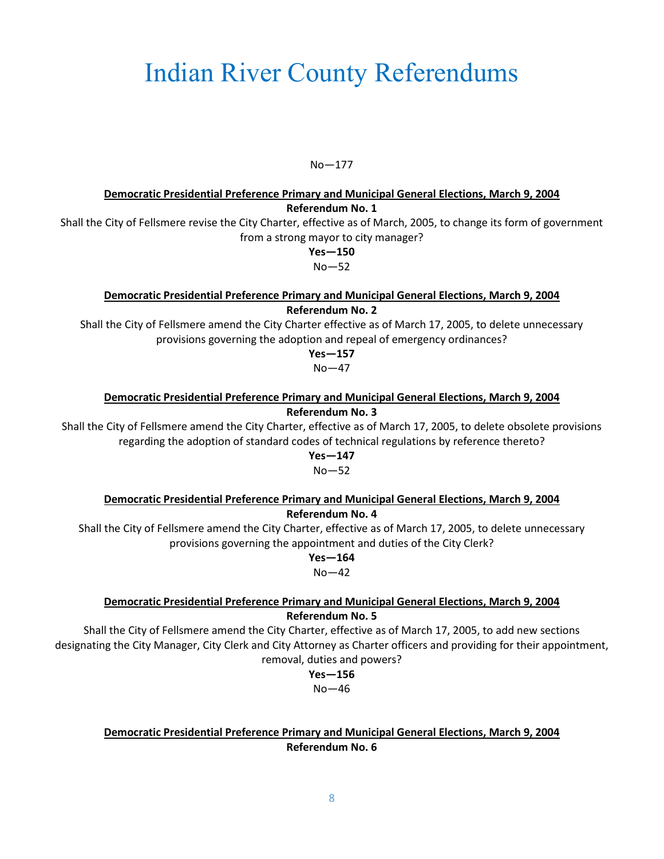## No—177

## **Democratic Presidential Preference Primary and Municipal General Elections, March 9, 2004 Referendum No. 1** Shall the City of Fellsmere revise the City Charter, effective as of March, 2005, to change its form of government from a strong mayor to city manager? **Yes—150**   $No - 52$

## **Democratic Presidential Preference Primary and Municipal General Elections, March 9, 2004 Referendum No. 2**

Shall the City of Fellsmere amend the City Charter effective as of March 17, 2005, to delete unnecessary provisions governing the adoption and repeal of emergency ordinances?

**Yes—157** 

No—47

## **Democratic Presidential Preference Primary and Municipal General Elections, March 9, 2004 Referendum No. 3**

Shall the City of Fellsmere amend the City Charter, effective as of March 17, 2005, to delete obsolete provisions regarding the adoption of standard codes of technical regulations by reference thereto?

## **Yes—147**

No—52

## **Democratic Presidential Preference Primary and Municipal General Elections, March 9, 2004 Referendum No. 4**

Shall the City of Fellsmere amend the City Charter, effective as of March 17, 2005, to delete unnecessary provisions governing the appointment and duties of the City Clerk?

## **Yes—164**

No—42

## **Democratic Presidential Preference Primary and Municipal General Elections, March 9, 2004 Referendum No. 5**

Shall the City of Fellsmere amend the City Charter, effective as of March 17, 2005, to add new sections designating the City Manager, City Clerk and City Attorney as Charter officers and providing for their appointment, removal, duties and powers?

> **Yes—156**  No—46

## **Democratic Presidential Preference Primary and Municipal General Elections, March 9, 2004 Referendum No. 6**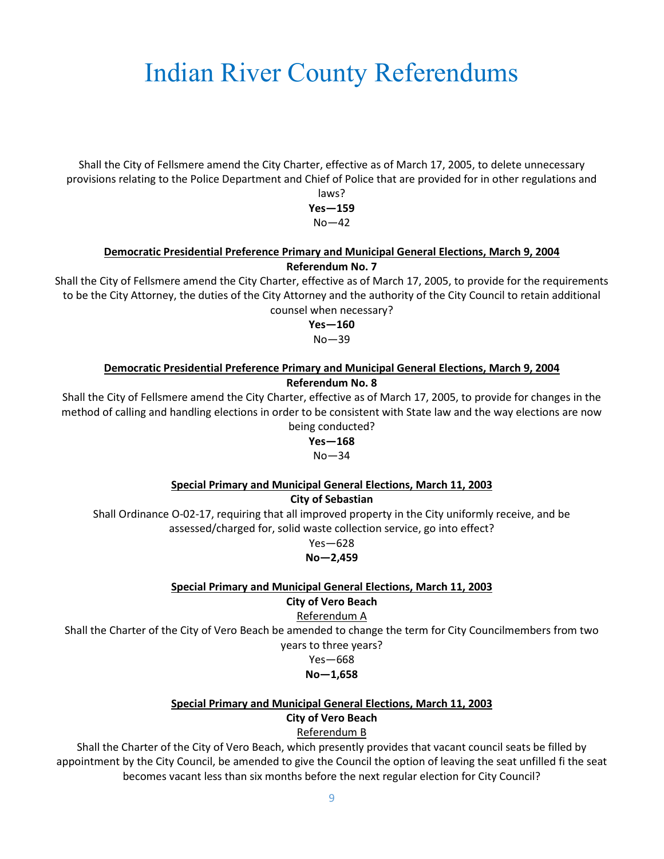Shall the City of Fellsmere amend the City Charter, effective as of March 17, 2005, to delete unnecessary provisions relating to the Police Department and Chief of Police that are provided for in other regulations and

> laws? **Yes—159**   $No-42$

## **Democratic Presidential Preference Primary and Municipal General Elections, March 9, 2004 Referendum No. 7**

Shall the City of Fellsmere amend the City Charter, effective as of March 17, 2005, to provide for the requirements to be the City Attorney, the duties of the City Attorney and the authority of the City Council to retain additional counsel when necessary?

**Yes—160**  No—39

## **Democratic Presidential Preference Primary and Municipal General Elections, March 9, 2004 Referendum No. 8**

Shall the City of Fellsmere amend the City Charter, effective as of March 17, 2005, to provide for changes in the method of calling and handling elections in order to be consistent with State law and the way elections are now being conducted?

## **Yes—168**

No—34

## **Special Primary and Municipal General Elections, March 11, 2003**

**City of Sebastian**

Shall Ordinance O-02-17, requiring that all improved property in the City uniformly receive, and be assessed/charged for, solid waste collection service, go into effect?

Yes—628

## **No—2,459**

## **Special Primary and Municipal General Elections, March 11, 2003**

**City of Vero Beach**

## Referendum A

Shall the Charter of the City of Vero Beach be amended to change the term for City Councilmembers from two years to three years?

> Yes—668 **No—1,658**

## **Special Primary and Municipal General Elections, March 11, 2003 City of Vero Beach**

## Referendum B

Shall the Charter of the City of Vero Beach, which presently provides that vacant council seats be filled by appointment by the City Council, be amended to give the Council the option of leaving the seat unfilled fi the seat becomes vacant less than six months before the next regular election for City Council?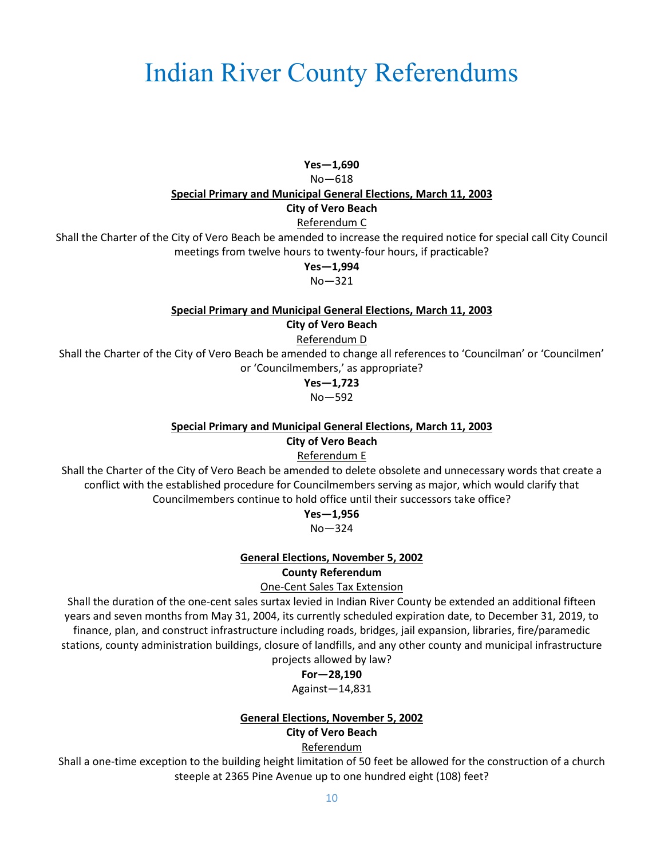## **Yes—1,690**

No—618

**Special Primary and Municipal General Elections, March 11, 2003**

**City of Vero Beach**

## Referendum C

Shall the Charter of the City of Vero Beach be amended to increase the required notice for special call City Council meetings from twelve hours to twenty-four hours, if practicable?

## **Yes—1,994**

No—321

## **Special Primary and Municipal General Elections, March 11, 2003**

**City of Vero Beach**

## Referendum D

Shall the Charter of the City of Vero Beach be amended to change all references to 'Councilman' or 'Councilmen' or 'Councilmembers,' as appropriate?

## **Yes—1,723**

No—592

## **Special Primary and Municipal General Elections, March 11, 2003**

## **City of Vero Beach**

## Referendum E

Shall the Charter of the City of Vero Beach be amended to delete obsolete and unnecessary words that create a conflict with the established procedure for Councilmembers serving as major, which would clarify that Councilmembers continue to hold office until their successors take office?

#### **Yes—1,956** No—324

## **General Elections, November 5, 2002 County Referendum**

## One-Cent Sales Tax Extension

Shall the duration of the one-cent sales surtax levied in Indian River County be extended an additional fifteen years and seven months from May 31, 2004, its currently scheduled expiration date, to December 31, 2019, to finance, plan, and construct infrastructure including roads, bridges, jail expansion, libraries, fire/paramedic stations, county administration buildings, closure of landfills, and any other county and municipal infrastructure projects allowed by law?

## **For—28,190**

## Against—14,831

## **General Elections, November 5, 2002**

## **City of Vero Beach**

Referendum

Shall a one-time exception to the building height limitation of 50 feet be allowed for the construction of a church steeple at 2365 Pine Avenue up to one hundred eight (108) feet?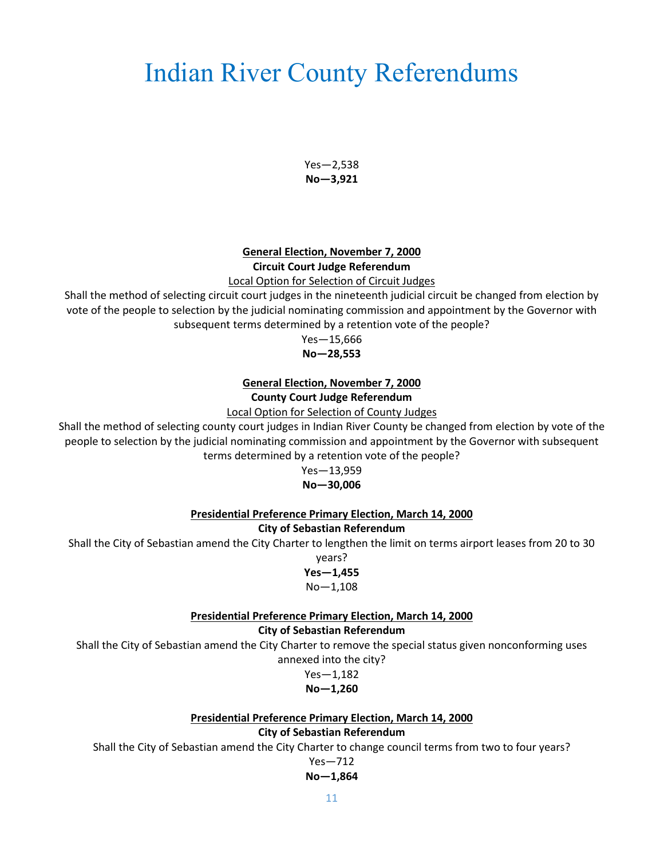Yes—2,538 **No—3,921**

**General Election, November 7, 2000 Circuit Court Judge Referendum**

Local Option for Selection of Circuit Judges

Shall the method of selecting circuit court judges in the nineteenth judicial circuit be changed from election by vote of the people to selection by the judicial nominating commission and appointment by the Governor with subsequent terms determined by a retention vote of the people?

> Yes—15,666 **No—28,553**

## **General Election, November 7, 2000 County Court Judge Referendum**

Local Option for Selection of County Judges

Shall the method of selecting county court judges in Indian River County be changed from election by vote of the people to selection by the judicial nominating commission and appointment by the Governor with subsequent terms determined by a retention vote of the people?

Yes—13,959

## **No—30,006**

## **Presidential Preference Primary Election, March 14, 2000**

#### **City of Sebastian Referendum**

Shall the City of Sebastian amend the City Charter to lengthen the limit on terms airport leases from 20 to 30

years?

### **Yes—1,455** No—1,108

## **Presidential Preference Primary Election, March 14, 2000**

### **City of Sebastian Referendum**

Shall the City of Sebastian amend the City Charter to remove the special status given nonconforming uses

annexed into the city?

## Yes—1,182

## **No—1,260**

## **Presidential Preference Primary Election, March 14, 2000**

### **City of Sebastian Referendum**

Shall the City of Sebastian amend the City Charter to change council terms from two to four years?

Yes—712

$$
No-1,864
$$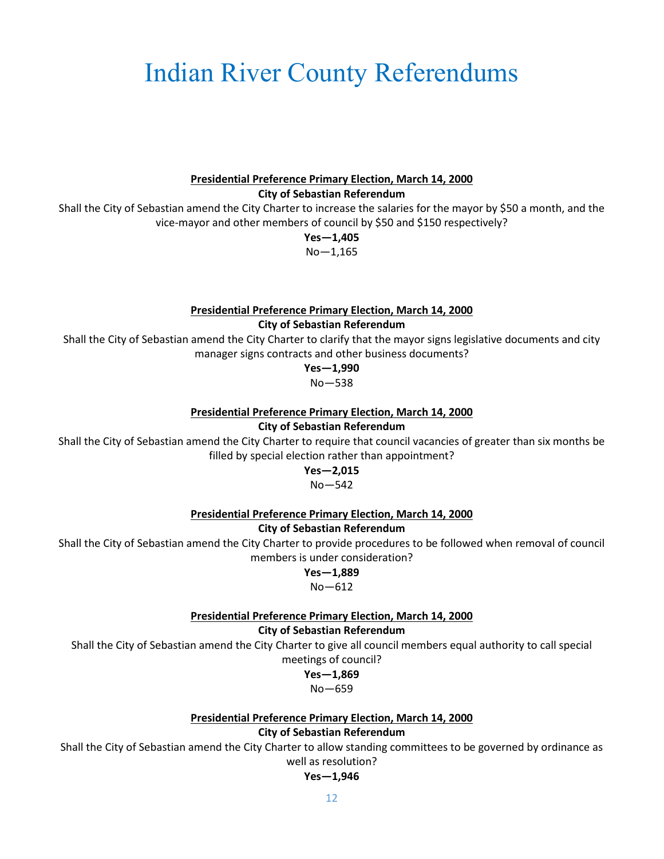## **Presidential Preference Primary Election, March 14, 2000**

### **City of Sebastian Referendum**

Shall the City of Sebastian amend the City Charter to increase the salaries for the mayor by \$50 a month, and the vice-mayor and other members of council by \$50 and \$150 respectively?

### **Yes—1,405**

No—1,165

**Presidential Preference Primary Election, March 14, 2000 City of Sebastian Referendum**

Shall the City of Sebastian amend the City Charter to clarify that the mayor signs legislative documents and city manager signs contracts and other business documents?

**Yes—1,990**

No—538

## **Presidential Preference Primary Election, March 14, 2000**

## **City of Sebastian Referendum**

Shall the City of Sebastian amend the City Charter to require that council vacancies of greater than six months be filled by special election rather than appointment?

#### **Yes—2,015**

### No—542

### **Presidential Preference Primary Election, March 14, 2000**

### **City of Sebastian Referendum**

Shall the City of Sebastian amend the City Charter to provide procedures to be followed when removal of council members is under consideration?

## **Yes—1,889**

## No—612

## **Presidential Preference Primary Election, March 14, 2000**

### **City of Sebastian Referendum**

Shall the City of Sebastian amend the City Charter to give all council members equal authority to call special

meetings of council?

## **Yes—1,869**

### No—659

## **Presidential Preference Primary Election, March 14, 2000**

### **City of Sebastian Referendum**

Shall the City of Sebastian amend the City Charter to allow standing committees to be governed by ordinance as well as resolution?

**Yes—1,946**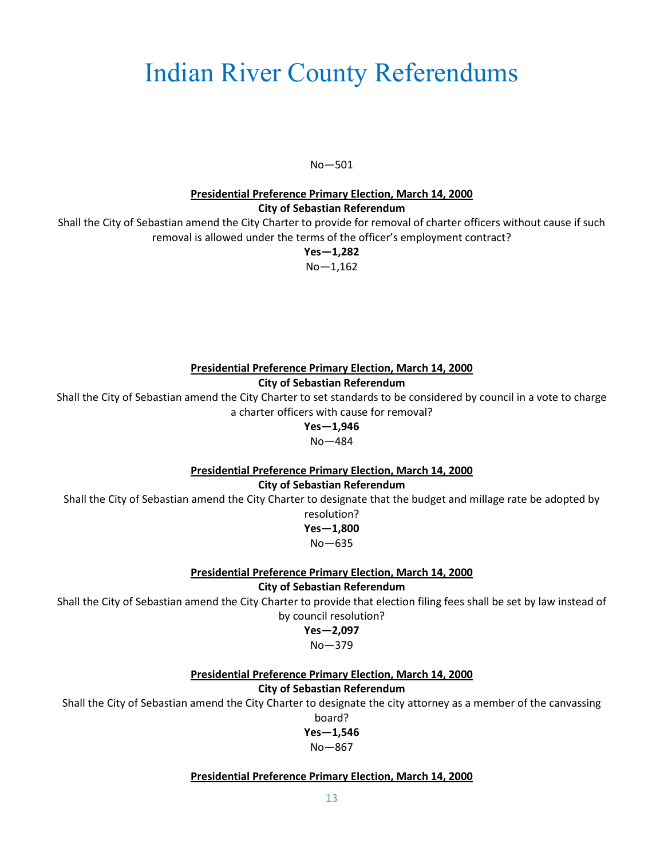No—501

## **Presidential Preference Primary Election, March 14, 2000 City of Sebastian Referendum**

Shall the City of Sebastian amend the City Charter to provide for removal of charter officers without cause if such removal is allowed under the terms of the officer's employment contract?

**Yes—1,282**

No—1,162

### **Presidential Preference Primary Election, March 14, 2000 City of Sebastian Referendum**

Shall the City of Sebastian amend the City Charter to set standards to be considered by council in a vote to charge a charter officers with cause for removal?

**Yes—1,946**

No—484

### **Presidential Preference Primary Election, March 14, 2000 City of Sebastian Referendum**

Shall the City of Sebastian amend the City Charter to designate that the budget and millage rate be adopted by

### resolution? **Yes—1,800** No—635

**Presidential Preference Primary Election, March 14, 2000**

## **City of Sebastian Referendum**

Shall the City of Sebastian amend the City Charter to provide that election filing fees shall be set by law instead of by council resolution?

**Yes—2,097**

No—379

## **Presidential Preference Primary Election, March 14, 2000**

## **City of Sebastian Referendum**

Shall the City of Sebastian amend the City Charter to designate the city attorney as a member of the canvassing

board?

**Yes—1,546** No—867

## **Presidential Preference Primary Election, March 14, 2000**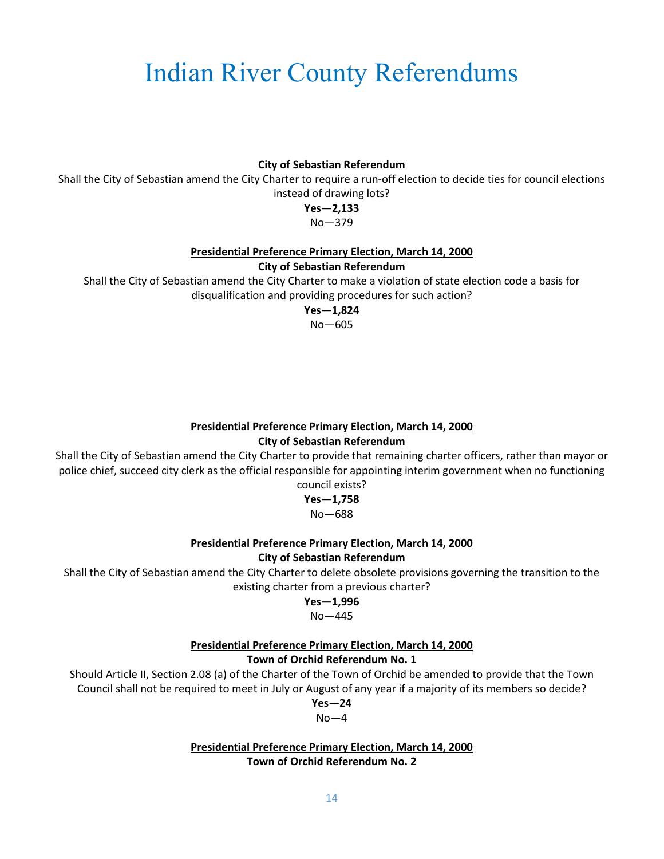### **City of Sebastian Referendum**

Shall the City of Sebastian amend the City Charter to require a run-off election to decide ties for council elections instead of drawing lots?

**Yes—2,133**

No—379

## **Presidential Preference Primary Election, March 14, 2000**

## **City of Sebastian Referendum**

Shall the City of Sebastian amend the City Charter to make a violation of state election code a basis for disqualification and providing procedures for such action?

**Yes—1,824**

No—605

## **Presidential Preference Primary Election, March 14, 2000 City of Sebastian Referendum**

Shall the City of Sebastian amend the City Charter to provide that remaining charter officers, rather than mayor or police chief, succeed city clerk as the official responsible for appointing interim government when no functioning

council exists?

**Yes—1,758** 

No—688

## **Presidential Preference Primary Election, March 14, 2000**

## **City of Sebastian Referendum**

Shall the City of Sebastian amend the City Charter to delete obsolete provisions governing the transition to the existing charter from a previous charter?

## **Yes—1,996**

No—445

## **Presidential Preference Primary Election, March 14, 2000**

## **Town of Orchid Referendum No. 1**

Should Article II, Section 2.08 (a) of the Charter of the Town of Orchid be amended to provide that the Town Council shall not be required to meet in July or August of any year if a majority of its members so decide?

## **Yes—24**

 $No-4$ 

**Presidential Preference Primary Election, March 14, 2000 Town of Orchid Referendum No. 2**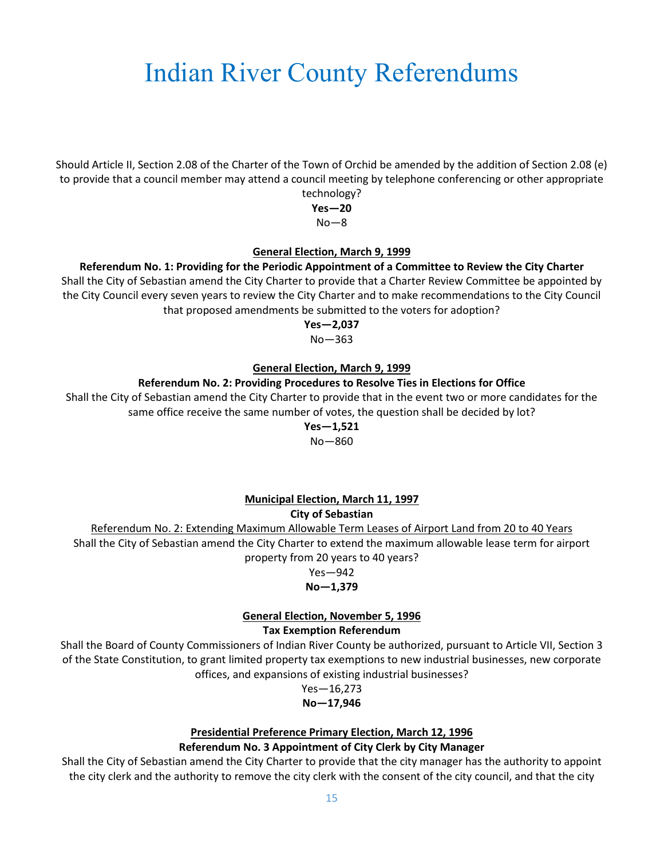Should Article II, Section 2.08 of the Charter of the Town of Orchid be amended by the addition of Section 2.08 (e) to provide that a council member may attend a council meeting by telephone conferencing or other appropriate

technology? **Yes—20**  No—8

## **General Election, March 9, 1999**

**Referendum No. 1: Providing for the Periodic Appointment of a Committee to Review the City Charter**

Shall the City of Sebastian amend the City Charter to provide that a Charter Review Committee be appointed by the City Council every seven years to review the City Charter and to make recommendations to the City Council that proposed amendments be submitted to the voters for adoption?

> **Yes—2,037** No—363

## **General Election, March 9, 1999**

## **Referendum No. 2: Providing Procedures to Resolve Ties in Elections for Office**

Shall the City of Sebastian amend the City Charter to provide that in the event two or more candidates for the same office receive the same number of votes, the question shall be decided by lot?

> **Yes—1,521** No—860

**Municipal Election, March 11, 1997 City of Sebastian**

Referendum No. 2: Extending Maximum Allowable Term Leases of Airport Land from 20 to 40 Years Shall the City of Sebastian amend the City Charter to extend the maximum allowable lease term for airport property from 20 years to 40 years?

> Yes—942 **No—1,379**

## **General Election, November 5, 1996**

### **Tax Exemption Referendum**

Shall the Board of County Commissioners of Indian River County be authorized, pursuant to Article VII, Section 3 of the State Constitution, to grant limited property tax exemptions to new industrial businesses, new corporate offices, and expansions of existing industrial businesses?

> Yes—16,273 **No—17,946**

### **Presidential Preference Primary Election, March 12, 1996**

**Referendum No. 3 Appointment of City Clerk by City Manager**

Shall the City of Sebastian amend the City Charter to provide that the city manager has the authority to appoint the city clerk and the authority to remove the city clerk with the consent of the city council, and that the city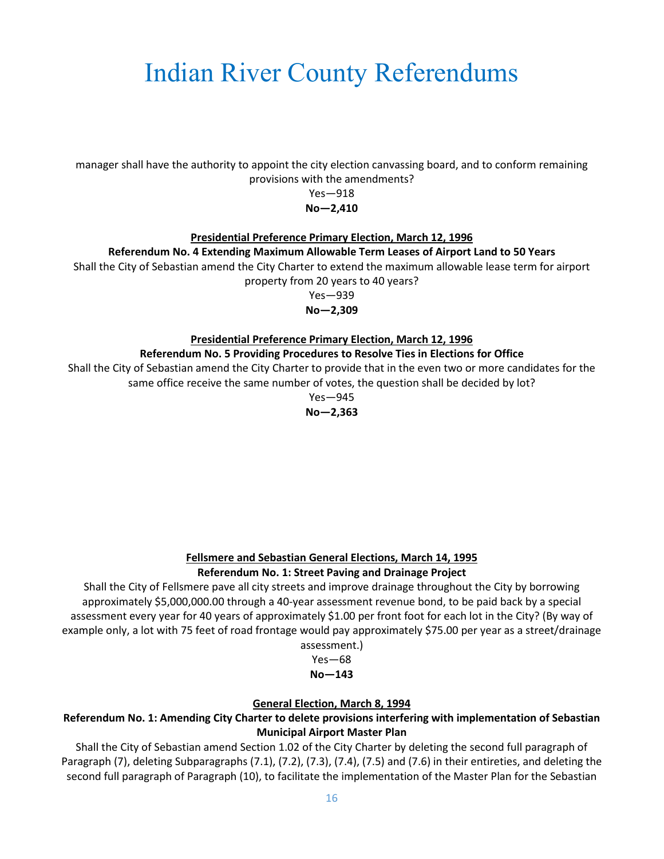manager shall have the authority to appoint the city election canvassing board, and to conform remaining provisions with the amendments?

> Yes—918 **No—2,410**

## **Presidential Preference Primary Election, March 12, 1996**

**Referendum No. 4 Extending Maximum Allowable Term Leases of Airport Land to 50 Years**

Shall the City of Sebastian amend the City Charter to extend the maximum allowable lease term for airport property from 20 years to 40 years?

Yes—939

**No—2,309**

### **Presidential Preference Primary Election, March 12, 1996**

#### **Referendum No. 5 Providing Procedures to Resolve Ties in Elections for Office**

Shall the City of Sebastian amend the City Charter to provide that in the even two or more candidates for the same office receive the same number of votes, the question shall be decided by lot?

Yes—945

**No—2,363**

## **Fellsmere and Sebastian General Elections, March 14, 1995 Referendum No. 1: Street Paving and Drainage Project**

Shall the City of Fellsmere pave all city streets and improve drainage throughout the City by borrowing approximately \$5,000,000.00 through a 40-year assessment revenue bond, to be paid back by a special assessment every year for 40 years of approximately \$1.00 per front foot for each lot in the City? (By way of example only, a lot with 75 feet of road frontage would pay approximately \$75.00 per year as a street/drainage

assessment.) Yes—68 **No—143** 

## **General Election, March 8, 1994**

## **Referendum No. 1: Amending City Charter to delete provisions interfering with implementation of Sebastian Municipal Airport Master Plan**

Shall the City of Sebastian amend Section 1.02 of the City Charter by deleting the second full paragraph of Paragraph (7), deleting Subparagraphs (7.1), (7.2), (7.3), (7.4), (7.5) and (7.6) in their entireties, and deleting the second full paragraph of Paragraph (10), to facilitate the implementation of the Master Plan for the Sebastian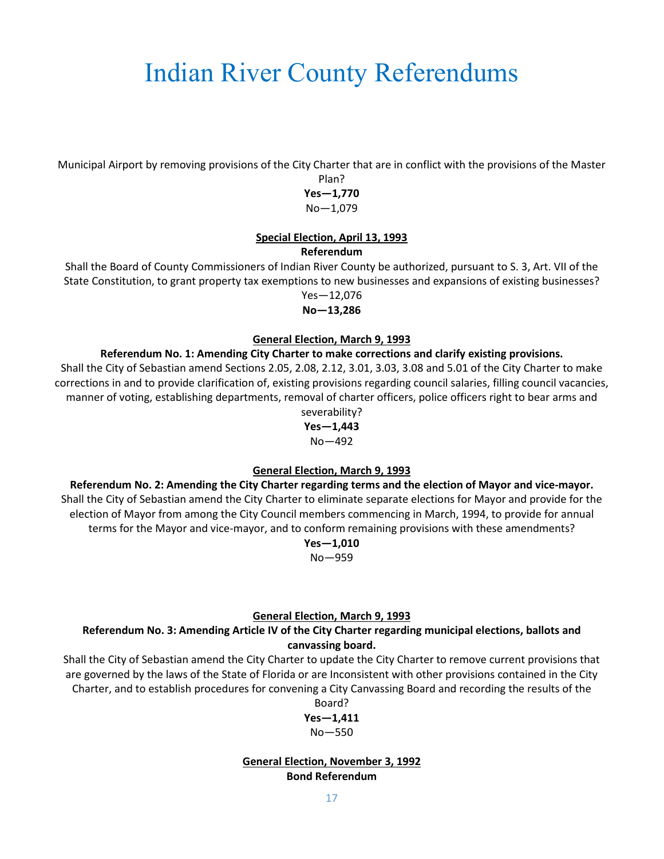Municipal Airport by removing provisions of the City Charter that are in conflict with the provisions of the Master

Plan? **Yes—1,770** No—1,079

## **Special Election, April 13, 1993**

## **Referendum**

Shall the Board of County Commissioners of Indian River County be authorized, pursuant to S. 3, Art. VII of the State Constitution, to grant property tax exemptions to new businesses and expansions of existing businesses?

Yes—12,076 **No—13,286**

## **General Election, March 9, 1993**

## **Referendum No. 1: Amending City Charter to make corrections and clarify existing provisions.** Shall the City of Sebastian amend Sections 2.05, 2.08, 2.12, 3.01, 3.03, 3.08 and 5.01 of the City Charter to make

corrections in and to provide clarification of, existing provisions regarding council salaries, filling council vacancies, manner of voting, establishing departments, removal of charter officers, police officers right to bear arms and

severability? **Yes—1,443** No—492

## **General Election, March 9, 1993**

**Referendum No. 2: Amending the City Charter regarding terms and the election of Mayor and vice-mayor.** Shall the City of Sebastian amend the City Charter to eliminate separate elections for Mayor and provide for the election of Mayor from among the City Council members commencing in March, 1994, to provide for annual terms for the Mayor and vice-mayor, and to conform remaining provisions with these amendments?

## **Yes—1,010**

## No—959

## **General Election, March 9, 1993**

## **Referendum No. 3: Amending Article IV of the City Charter regarding municipal elections, ballots and canvassing board.**

Shall the City of Sebastian amend the City Charter to update the City Charter to remove current provisions that are governed by the laws of the State of Florida or are Inconsistent with other provisions contained in the City Charter, and to establish procedures for convening a City Canvassing Board and recording the results of the

Board?

**Yes—1,411** No—550

## **General Election, November 3, 1992 Bond Referendum**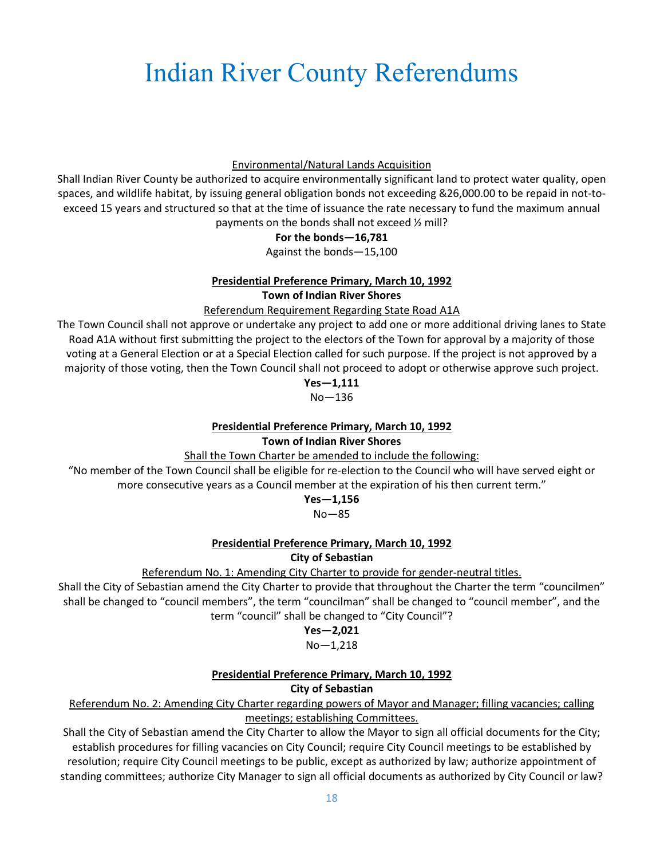## Environmental/Natural Lands Acquisition

Shall Indian River County be authorized to acquire environmentally significant land to protect water quality, open spaces, and wildlife habitat, by issuing general obligation bonds not exceeding &26,000.00 to be repaid in not-toexceed 15 years and structured so that at the time of issuance the rate necessary to fund the maximum annual payments on the bonds shall not exceed ½ mill?

## **For the bonds—16,781**

Against the bonds—15,100

#### **Presidential Preference Primary, March 10, 1992 Town of Indian River Shores**

## Referendum Requirement Regarding State Road A1A

The Town Council shall not approve or undertake any project to add one or more additional driving lanes to State Road A1A without first submitting the project to the electors of the Town for approval by a majority of those voting at a General Election or at a Special Election called for such purpose. If the project is not approved by a majority of those voting, then the Town Council shall not proceed to adopt or otherwise approve such project.

## **Yes—1,111**

No—136

## **Presidential Preference Primary, March 10, 1992**

## **Town of Indian River Shores**

Shall the Town Charter be amended to include the following:

"No member of the Town Council shall be eligible for re-election to the Council who will have served eight or more consecutive years as a Council member at the expiration of his then current term."

## **Yes—1,156**

No—85

## **Presidential Preference Primary, March 10, 1992**

## **City of Sebastian**

## Referendum No. 1: Amending City Charter to provide for gender-neutral titles.

Shall the City of Sebastian amend the City Charter to provide that throughout the Charter the term "councilmen" shall be changed to "council members", the term "councilman" shall be changed to "council member", and the term "council" shall be changed to "City Council"?

**Yes—2,021**

No—1,218

### **Presidential Preference Primary, March 10, 1992**

**City of Sebastian**

Referendum No. 2: Amending City Charter regarding powers of Mayor and Manager; filling vacancies; calling meetings; establishing Committees.

Shall the City of Sebastian amend the City Charter to allow the Mayor to sign all official documents for the City; establish procedures for filling vacancies on City Council; require City Council meetings to be established by resolution; require City Council meetings to be public, except as authorized by law; authorize appointment of standing committees; authorize City Manager to sign all official documents as authorized by City Council or law?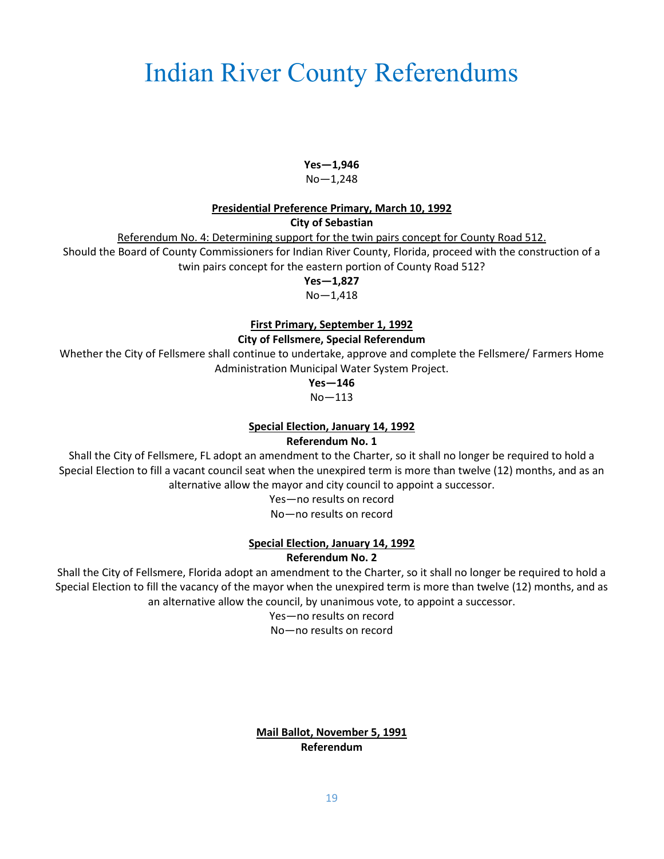**Yes—1,946** No—1,248

## **Presidential Preference Primary, March 10, 1992**

**City of Sebastian**

Referendum No. 4: Determining support for the twin pairs concept for County Road 512.

Should the Board of County Commissioners for Indian River County, Florida, proceed with the construction of a twin pairs concept for the eastern portion of County Road 512?

**Yes—1,827**

No—1,418

## **First Primary, September 1, 1992**

### **City of Fellsmere, Special Referendum**

Whether the City of Fellsmere shall continue to undertake, approve and complete the Fellsmere/ Farmers Home Administration Municipal Water System Project.

**Yes—146** 

No—113

#### **Special Election, January 14, 1992**

### **Referendum No. 1**

Shall the City of Fellsmere, FL adopt an amendment to the Charter, so it shall no longer be required to hold a Special Election to fill a vacant council seat when the unexpired term is more than twelve (12) months, and as an alternative allow the mayor and city council to appoint a successor.

Yes—no results on record

No—no results on record

## **Special Election, January 14, 1992**

### **Referendum No. 2**

Shall the City of Fellsmere, Florida adopt an amendment to the Charter, so it shall no longer be required to hold a Special Election to fill the vacancy of the mayor when the unexpired term is more than twelve (12) months, and as an alternative allow the council, by unanimous vote, to appoint a successor.

Yes—no results on record

No—no results on record

## **Mail Ballot, November 5, 1991 Referendum**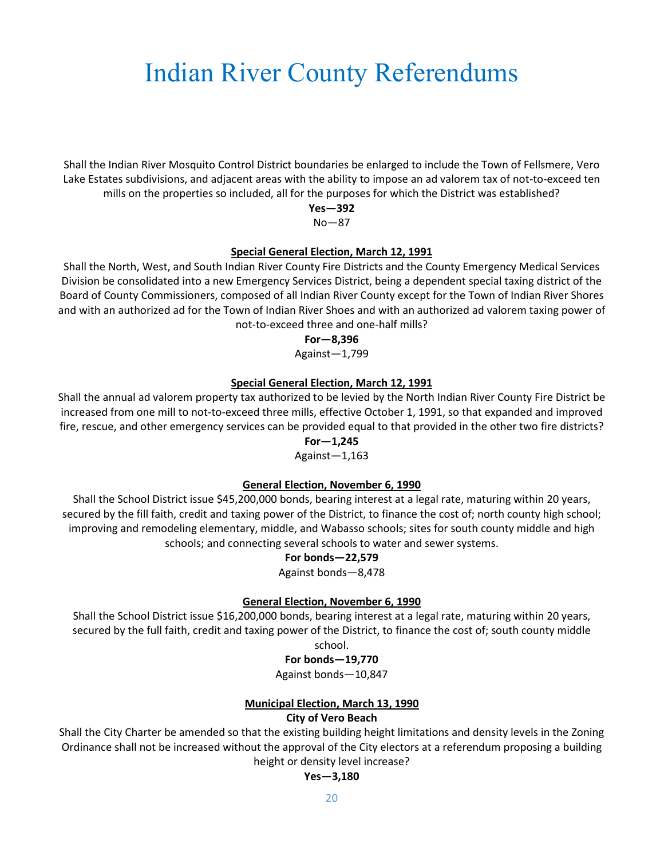Shall the Indian River Mosquito Control District boundaries be enlarged to include the Town of Fellsmere, Vero Lake Estates subdivisions, and adjacent areas with the ability to impose an ad valorem tax of not-to-exceed ten mills on the properties so included, all for the purposes for which the District was established?

**Yes—392** 

No—87

### **Special General Election, March 12, 1991**

Shall the North, West, and South Indian River County Fire Districts and the County Emergency Medical Services Division be consolidated into a new Emergency Services District, being a dependent special taxing district of the Board of County Commissioners, composed of all Indian River County except for the Town of Indian River Shores and with an authorized ad for the Town of Indian River Shoes and with an authorized ad valorem taxing power of not-to-exceed three and one-half mills?

> **For—8,396**  Against—1,799

#### **Special General Election, March 12, 1991**

Shall the annual ad valorem property tax authorized to be levied by the North Indian River County Fire District be increased from one mill to not-to-exceed three mills, effective October 1, 1991, so that expanded and improved fire, rescue, and other emergency services can be provided equal to that provided in the other two fire districts?

**For—1,245** 

Against—1,163

### **General Election, November 6, 1990**

Shall the School District issue \$45,200,000 bonds, bearing interest at a legal rate, maturing within 20 years, secured by the fill faith, credit and taxing power of the District, to finance the cost of; north county high school; improving and remodeling elementary, middle, and Wabasso schools; sites for south county middle and high schools; and connecting several schools to water and sewer systems.

## **For bonds—22,579**

Against bonds—8,478

#### **General Election, November 6, 1990**

Shall the School District issue \$16,200,000 bonds, bearing interest at a legal rate, maturing within 20 years, secured by the full faith, credit and taxing power of the District, to finance the cost of; south county middle

school.

**For bonds—19,770**

Against bonds—10,847

### **Municipal Election, March 13, 1990**

### **City of Vero Beach**

Shall the City Charter be amended so that the existing building height limitations and density levels in the Zoning Ordinance shall not be increased without the approval of the City electors at a referendum proposing a building height or density level increase?

**Yes—3,180**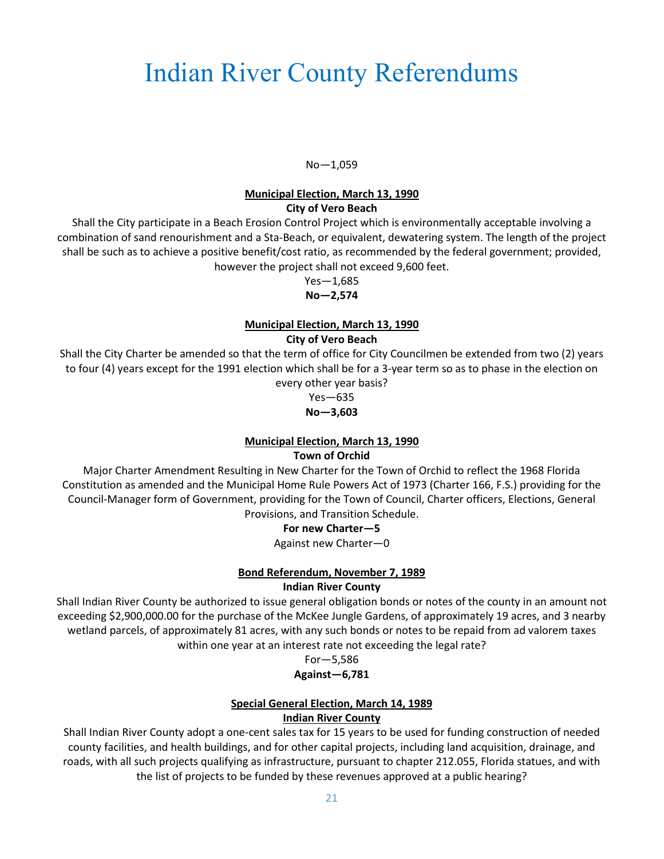#### No—1,059

## **Municipal Election, March 13, 1990**

**City of Vero Beach**

Shall the City participate in a Beach Erosion Control Project which is environmentally acceptable involving a combination of sand renourishment and a Sta-Beach, or equivalent, dewatering system. The length of the project shall be such as to achieve a positive benefit/cost ratio, as recommended by the federal government; provided, however the project shall not exceed 9,600 feet.

Yes—1,685

## **No—2,574**

#### **Municipal Election, March 13, 1990**

### **City of Vero Beach**

Shall the City Charter be amended so that the term of office for City Councilmen be extended from two (2) years to four (4) years except for the 1991 election which shall be for a 3-year term so as to phase in the election on every other year basis?

Yes—635

**No—3,603**

#### **Municipal Election, March 13, 1990**

#### **Town of Orchid**

Major Charter Amendment Resulting in New Charter for the Town of Orchid to reflect the 1968 Florida Constitution as amended and the Municipal Home Rule Powers Act of 1973 (Charter 166, F.S.) providing for the Council-Manager form of Government, providing for the Town of Council, Charter officers, Elections, General Provisions, and Transition Schedule.

### **For new Charter—5**

Against new Charter—0

#### **Bond Referendum, November 7, 1989**

#### **Indian River County**

Shall Indian River County be authorized to issue general obligation bonds or notes of the county in an amount not exceeding \$2,900,000.00 for the purchase of the McKee Jungle Gardens, of approximately 19 acres, and 3 nearby wetland parcels, of approximately 81 acres, with any such bonds or notes to be repaid from ad valorem taxes within one year at an interest rate not exceeding the legal rate?

For—5,586

**Against—6,781**

#### **Special General Election, March 14, 1989**

#### **Indian River County**

Shall Indian River County adopt a one-cent sales tax for 15 years to be used for funding construction of needed county facilities, and health buildings, and for other capital projects, including land acquisition, drainage, and roads, with all such projects qualifying as infrastructure, pursuant to chapter 212.055, Florida statues, and with the list of projects to be funded by these revenues approved at a public hearing?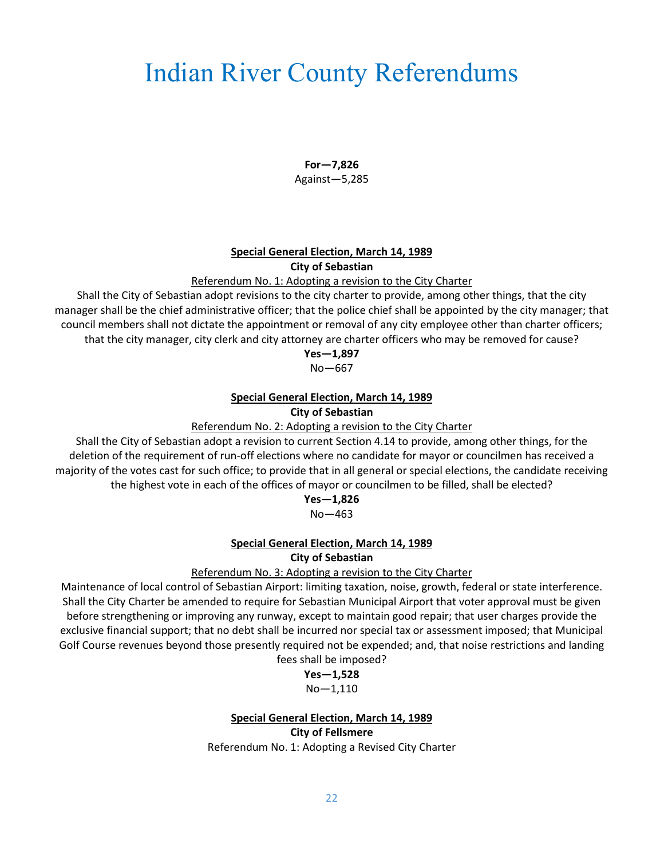**For—7,826** Against—5,285

## **Special General Election, March 14, 1989 City of Sebastian**

Referendum No. 1: Adopting a revision to the City Charter

Shall the City of Sebastian adopt revisions to the city charter to provide, among other things, that the city manager shall be the chief administrative officer; that the police chief shall be appointed by the city manager; that council members shall not dictate the appointment or removal of any city employee other than charter officers; that the city manager, city clerk and city attorney are charter officers who may be removed for cause?

**Yes—1,897**

No—667

## **Special General Election, March 14, 1989**

### **City of Sebastian**

Referendum No. 2: Adopting a revision to the City Charter

Shall the City of Sebastian adopt a revision to current Section 4.14 to provide, among other things, for the deletion of the requirement of run-off elections where no candidate for mayor or councilmen has received a majority of the votes cast for such office; to provide that in all general or special elections, the candidate receiving the highest vote in each of the offices of mayor or councilmen to be filled, shall be elected?

## **Yes—1,826**

No—463

## **Special General Election, March 14, 1989 City of Sebastian**

### Referendum No. 3: Adopting a revision to the City Charter

Maintenance of local control of Sebastian Airport: limiting taxation, noise, growth, federal or state interference. Shall the City Charter be amended to require for Sebastian Municipal Airport that voter approval must be given before strengthening or improving any runway, except to maintain good repair; that user charges provide the exclusive financial support; that no debt shall be incurred nor special tax or assessment imposed; that Municipal Golf Course revenues beyond those presently required not be expended; and, that noise restrictions and landing fees shall be imposed?

**Yes—1,528**  No—1,110

**Special General Election, March 14, 1989 City of Fellsmere** Referendum No. 1: Adopting a Revised City Charter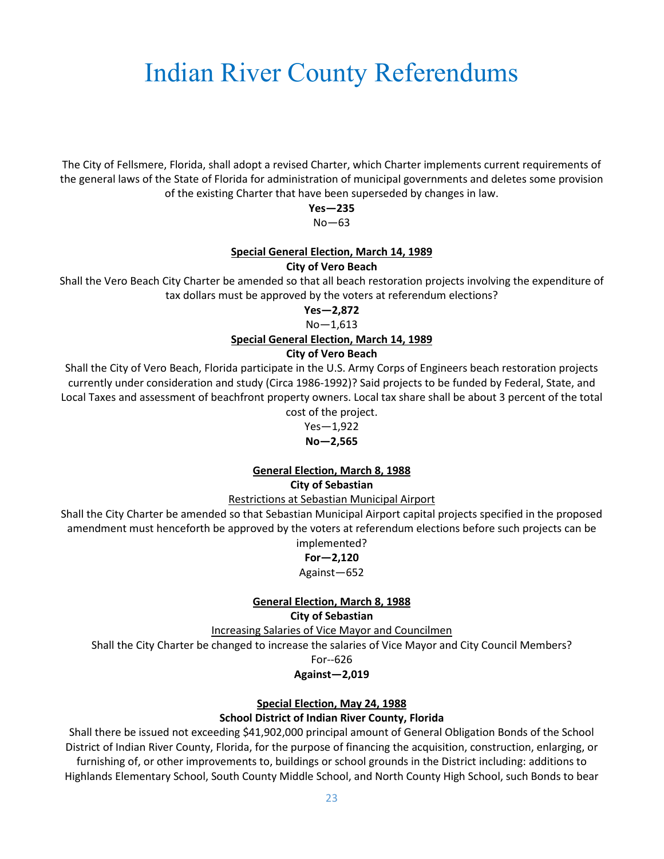The City of Fellsmere, Florida, shall adopt a revised Charter, which Charter implements current requirements of the general laws of the State of Florida for administration of municipal governments and deletes some provision of the existing Charter that have been superseded by changes in law.

**Yes—235** 

No—63

### **Special General Election, March 14, 1989**

#### **City of Vero Beach**

Shall the Vero Beach City Charter be amended so that all beach restoration projects involving the expenditure of tax dollars must be approved by the voters at referendum elections?

**Yes—2,872** 

No—1,613

**Special General Election, March 14, 1989**

**City of Vero Beach**

Shall the City of Vero Beach, Florida participate in the U.S. Army Corps of Engineers beach restoration projects currently under consideration and study (Circa 1986-1992)? Said projects to be funded by Federal, State, and Local Taxes and assessment of beachfront property owners. Local tax share shall be about 3 percent of the total

cost of the project.

Yes—1,922 **No—2,565** 

## **General Election, March 8, 1988 City of Sebastian**

## Restrictions at Sebastian Municipal Airport

Shall the City Charter be amended so that Sebastian Municipal Airport capital projects specified in the proposed amendment must henceforth be approved by the voters at referendum elections before such projects can be

#### implemented? **For—2,120**

Against—652

### **General Election, March 8, 1988**

**City of Sebastian**

Increasing Salaries of Vice Mayor and Councilmen

Shall the City Charter be changed to increase the salaries of Vice Mayor and City Council Members?

For--626

**Against—2,019**

## **Special Election, May 24, 1988**

### **School District of Indian River County, Florida**

Shall there be issued not exceeding \$41,902,000 principal amount of General Obligation Bonds of the School District of Indian River County, Florida, for the purpose of financing the acquisition, construction, enlarging, or furnishing of, or other improvements to, buildings or school grounds in the District including: additions to Highlands Elementary School, South County Middle School, and North County High School, such Bonds to bear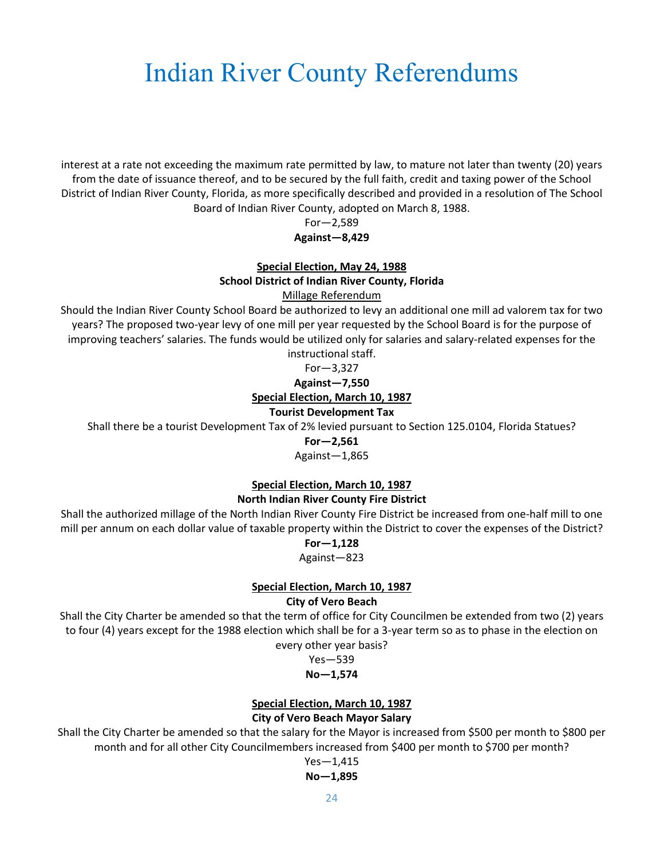interest at a rate not exceeding the maximum rate permitted by law, to mature not later than twenty (20) years from the date of issuance thereof, and to be secured by the full faith, credit and taxing power of the School District of Indian River County, Florida, as more specifically described and provided in a resolution of The School Board of Indian River County, adopted on March 8, 1988.

> For—2,589 **Against—8,429**

## **Special Election, May 24, 1988 School District of Indian River County, Florida** Millage Referendum

Should the Indian River County School Board be authorized to levy an additional one mill ad valorem tax for two years? The proposed two-year levy of one mill per year requested by the School Board is for the purpose of improving teachers' salaries. The funds would be utilized only for salaries and salary-related expenses for the instructional staff.

For—3,327

## **Against—7,550 Special Election, March 10, 1987**

## **Tourist Development Tax**

Shall there be a tourist Development Tax of 2% levied pursuant to Section 125.0104, Florida Statues?

**For—2,561** 

Against—1,865

## **Special Election, March 10, 1987**

## **North Indian River County Fire District**

Shall the authorized millage of the North Indian River County Fire District be increased from one-half mill to one mill per annum on each dollar value of taxable property within the District to cover the expenses of the District?

## **For—1,128**

Against—823

## **Special Election, March 10, 1987**

**City of Vero Beach**

Shall the City Charter be amended so that the term of office for City Councilmen be extended from two (2) years to four (4) years except for the 1988 election which shall be for a 3-year term so as to phase in the election on

every other year basis?

## Yes—539 **No—1,574**

## **Special Election, March 10, 1987**

## **City of Vero Beach Mayor Salary**

Shall the City Charter be amended so that the salary for the Mayor is increased from \$500 per month to \$800 per month and for all other City Councilmembers increased from \$400 per month to \$700 per month?

### Yes—1,415 **No—1,895**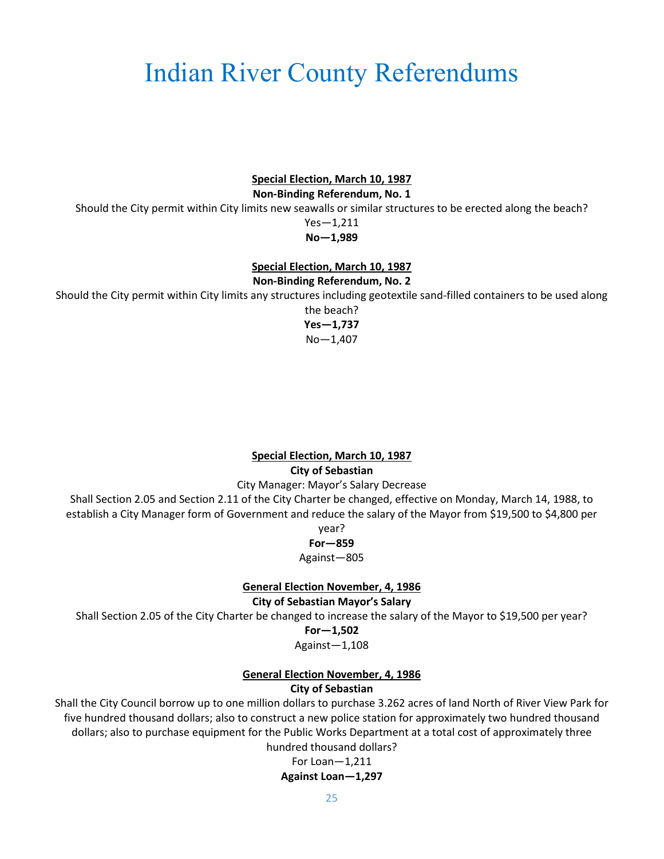## **Special Election, March 10, 1987**

**Non-Binding Referendum, No. 1**

Should the City permit within City limits new seawalls or similar structures to be erected along the beach?

## Yes—1,211 **No—1,989**

### **Special Election, March 10, 1987**

**Non-Binding Referendum, No. 2**

Should the City permit within City limits any structures including geotextile sand-filled containers to be used along

the beach? **Yes—1,737**

No—1,407

## **Special Election, March 10, 1987 City of Sebastian**

City Manager: Mayor's Salary Decrease

Shall Section 2.05 and Section 2.11 of the City Charter be changed, effective on Monday, March 14, 1988, to establish a City Manager form of Government and reduce the salary of the Mayor from \$19,500 to \$4,800 per year?

## **For—859**

Against—805

## **General Election November, 4, 1986**

**City of Sebastian Mayor's Salary**

Shall Section 2.05 of the City Charter be changed to increase the salary of the Mayor to \$19,500 per year?

**For—1,502**

Against—1,108

### **General Election November, 4, 1986**

### **City of Sebastian**

Shall the City Council borrow up to one million dollars to purchase 3.262 acres of land North of River View Park for five hundred thousand dollars; also to construct a new police station for approximately two hundred thousand dollars; also to purchase equipment for the Public Works Department at a total cost of approximately three hundred thousand dollars?

For Loan—1,211

## **Against Loan—1,297**